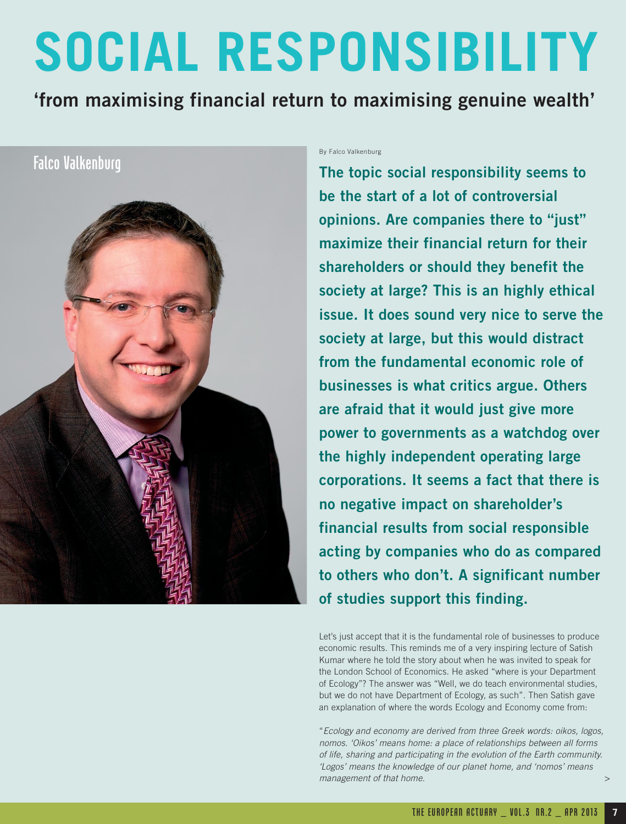## **SOCIAL RESPONSIBILITY**

**'from maximising financial return to maximising genuine wealth'**

## Falco Valkenburg



By Falco Valkenburg

**The topic social responsibility seems to be the start of a lot of controversial opinions. Are companies there to "just" maximize their financial return for their shareholders or should they benefit the society at large? This is an highly ethical issue. It does sound very nice to serve the society at large, but this would distract from the fundamental economic role of businesses is what critics argue. Others are afraid that it would just give more power to governments as a watchdog over the highly independent operating large corporations. It seems a fact that there is no negative impact on shareholder's financial results from social responsible acting by companies who do as compared to others who don't. A significant number of studies support this finding.**

Let's just accept that it is the fundamental role of businesses to produce economic results. This reminds me of a very inspiring lecture of Satish Kumar where he told the story about when he was invited to speak for the London School of Economics. He asked "where is your Department of Ecology"? The answer was "Well, we do teach environmental studies, but we do not have Department of Ecology, as such". Then Satish gave an explanation of where the words Ecology and Economy come from:

"Ecology and economy are derived from three Greek words: oikos, logos, nomos. 'Oikos' means home: a place of relationships between all forms of life, sharing and participating in the evolution of the Earth community. 'Logos' means the knowledge of our planet home, and 'nomos' means management of that home. >